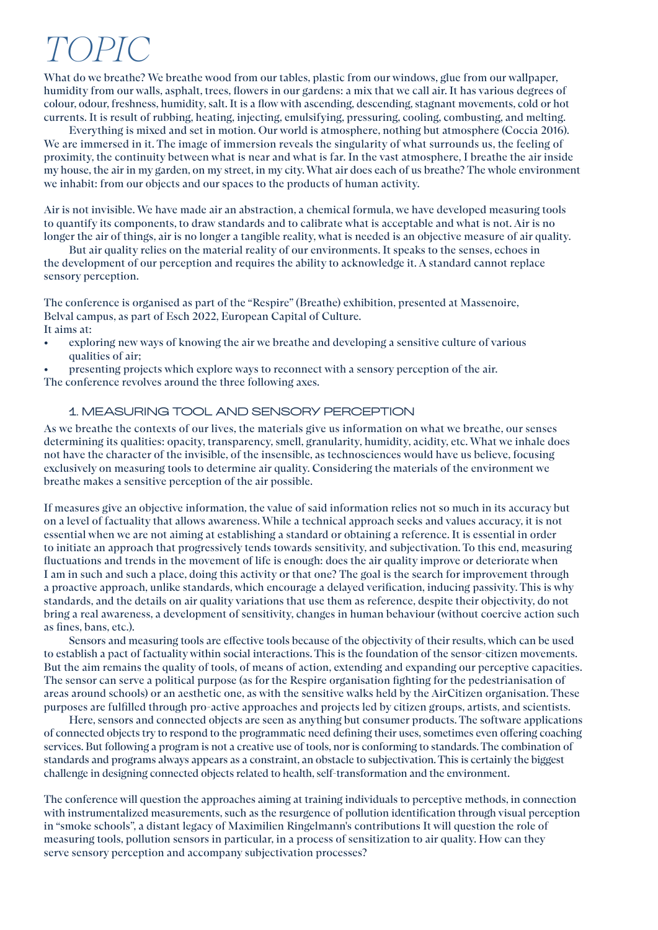# TO  $PI$

What do we breathe? We breathe wood from our tables, plastic from our windows, glue from our wallpaper, humidity from our walls, asphalt, trees, flowers in our gardens: a mix that we call air. It has various degrees of colour, odour, freshness, humidity, salt. It is a flow with ascending, descending, stagnant movements, cold or hot currents. It is result of rubbing, heating, injecting, emulsifying, pressuring, cooling, combusting, and melting.

Everything is mixed and set in motion. Our world is atmosphere, nothing but atmosphere (Coccia 2016). We are immersed in it. The image of immersion reveals the singularity of what surrounds us, the feeling of proximity, the continuity between what is near and what is far. In the vast atmosphere, I breathe the air inside my house, the air in my garden, on my street, in my city. What air does each of us breathe? The whole environment we inhabit: from our objects and our spaces to the products of human activity.

Air is not invisible. We have made air an abstraction, a chemical formula, we have developed measuring tools to quantify its components, to draw standards and to calibrate what is acceptable and what is not. Air is no longer the air of things, air is no longer a tangible reality, what is needed is an objective measure of air quality.

But air quality relies on the material reality of our environments. It speaks to the senses, echoes in the development of our perception and requires the ability to acknowledge it. A standard cannot replace sensory perception.

The conference is organised as part of the "Respire" (Breathe) exhibition, presented at Massenoire, Belval campus, as part of Esch 2022, European Capital of Culture. It aims at:

- exploring new ways of knowing the air we breathe and developing a sensitive culture of various qualities of air;
- presenting projects which explore ways to reconnect with a sensory perception of the air.

The conference revolves around the three following axes.

#### 1. MEASURING TOOL AND SENSORY PERCEPTION

As we breathe the contexts of our lives, the materials give us information on what we breathe, our senses determining its qualities: opacity, transparency, smell, granularity, humidity, acidity, etc. What we inhale does not have the character of the invisible, of the insensible, as technosciences would have us believe, focusing exclusively on measuring tools to determine air quality. Considering the materials of the environment we breathe makes a sensitive perception of the air possible.

If measures give an objective information, the value of said information relies not so much in its accuracy but on a level of factuality that allows awareness. While a technical approach seeks and values accuracy, it is not essential when we are not aiming at establishing a standard or obtaining a reference. It is essential in order to initiate an approach that progressively tends towards sensitivity, and subjectivation. To this end, measuring fluctuations and trends in the movement of life is enough: does the air quality improve or deteriorate when I am in such and such a place, doing this activity or that one? The goal is the search for improvement through a proactive approach, unlike standards, which encourage a delayed verification, inducing passivity. This is why standards, and the details on air quality variations that use them as reference, despite their objectivity, do not bring a real awareness, a development of sensitivity, changes in human behaviour (without coercive action such as fines, bans, etc.).

Sensors and measuring tools are effective tools because of the objectivity of their results, which can be used to establish a pact of factuality within social interactions. This is the foundation of the sensor-citizen movements. But the aim remains the quality of tools, of means of action, extending and expanding our perceptive capacities. The sensor can serve a political purpose (as for the Respire organisation fighting for the pedestrianisation of areas around schools) or an aesthetic one, as with the sensitive walks held by the AirCitizen organisation. These purposes are fulfilled through pro-active approaches and projects led by citizen groups, artists, and scientists.

Here, sensors and connected objects are seen as anything but consumer products. The software applications of connected objects try to respond to the programmatic need defining their uses, sometimes even offering coaching services. But following a program is not a creative use of tools, nor is conforming to standards. The combination of standards and programs always appears as a constraint, an obstacle to subjectivation. This is certainly the biggest challenge in designing connected objects related to health, self-transformation and the environment.

The conference will question the approaches aiming at training individuals to perceptive methods, in connection with instrumentalized measurements, such as the resurgence of pollution identification through visual perception in "smoke schools", a distant legacy of Maximilien Ringelmann's contributions It will question the role of measuring tools, pollution sensors in particular, in a process of sensitization to air quality. How can they serve sensory perception and accompany subjectivation processes?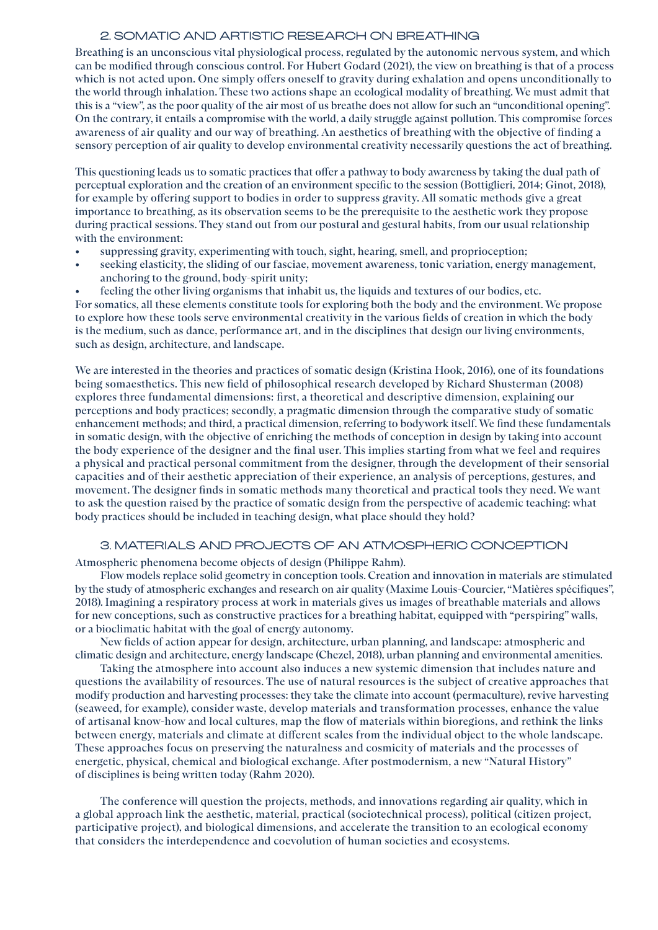#### 2. SOMATIC AND ARTISTIC RESEARCH ON BREATHING

Breathing is an unconscious vital physiological process, regulated by the autonomic nervous system, and which can be modified through conscious control. For Hubert Godard (2021), the view on breathing is that of a process which is not acted upon. One simply offers oneself to gravity during exhalation and opens unconditionally to the world through inhalation. These two actions shape an ecological modality of breathing. We must admit that this is a "view", as the poor quality of the air most of us breathe does not allow for such an "unconditional opening". On the contrary, it entails a compromise with the world, a daily struggle against pollution. This compromise forces awareness of air quality and our way of breathing. An aesthetics of breathing with the objective of finding a sensory perception of air quality to develop environmental creativity necessarily questions the act of breathing.

This questioning leads us to somatic practices that offer a pathway to body awareness by taking the dual path of perceptual exploration and the creation of an environment specific to the session (Bottiglieri, 2014; Ginot, 2018), for example by offering support to bodies in order to suppress gravity. All somatic methods give a great importance to breathing, as its observation seems to be the prerequisite to the aesthetic work they propose during practical sessions. They stand out from our postural and gestural habits, from our usual relationship with the environment:

- suppressing gravity, experimenting with touch, sight, hearing, smell, and proprioception;
- seeking elasticity, the sliding of our fasciae, movement awareness, tonic variation, energy management, anchoring to the ground, body-spirit unity;

• feeling the other living organisms that inhabit us, the liquids and textures of our bodies, etc. For somatics, all these elements constitute tools for exploring both the body and the environment. We propose to explore how these tools serve environmental creativity in the various fields of creation in which the body is the medium, such as dance, performance art, and in the disciplines that design our living environments, such as design, architecture, and landscape.

We are interested in the theories and practices of somatic design (Kristina Hook, 2016), one of its foundations being somaesthetics. This new field of philosophical research developed by Richard Shusterman (2008) explores three fundamental dimensions: first, a theoretical and descriptive dimension, explaining our perceptions and body practices; secondly, a pragmatic dimension through the comparative study of somatic enhancement methods; and third, a practical dimension, referring to bodywork itself. We find these fundamentals in somatic design, with the objective of enriching the methods of conception in design by taking into account the body experience of the designer and the final user. This implies starting from what we feel and requires a physical and practical personal commitment from the designer, through the development of their sensorial capacities and of their aesthetic appreciation of their experience, an analysis of perceptions, gestures, and movement. The designer finds in somatic methods many theoretical and practical tools they need. We want to ask the question raised by the practice of somatic design from the perspective of academic teaching: what body practices should be included in teaching design, what place should they hold?

#### 3. MATERIALS AND PROJECTS OF AN ATMOSPHERIC CONCEPTION

Atmospheric phenomena become objects of design (Philippe Rahm).

Flow models replace solid geometry in conception tools. Creation and innovation in materials are stimulated by the study of atmospheric exchanges and research on air quality (Maxime Louis-Courcier, "Matières spécifiques", 2018). Imagining a respiratory process at work in materials gives us images of breathable materials and allows for new conceptions, such as constructive practices for a breathing habitat, equipped with "perspiring" walls, or a bioclimatic habitat with the goal of energy autonomy.

New fields of action appear for design, architecture, urban planning, and landscape: atmospheric and climatic design and architecture, energy landscape (Chezel, 2018), urban planning and environmental amenities.

Taking the atmosphere into account also induces a new systemic dimension that includes nature and questions the availability of resources. The use of natural resources is the subject of creative approaches that modify production and harvesting processes: they take the climate into account (permaculture), revive harvesting (seaweed, for example), consider waste, develop materials and transformation processes, enhance the value of artisanal know-how and local cultures, map the flow of materials within bioregions, and rethink the links between energy, materials and climate at different scales from the individual object to the whole landscape. These approaches focus on preserving the naturalness and cosmicity of materials and the processes of energetic, physical, chemical and biological exchange. After postmodernism, a new "Natural History" of disciplines is being written today (Rahm 2020).

The conference will question the projects, methods, and innovations regarding air quality, which in a global approach link the aesthetic, material, practical (sociotechnical process), political (citizen project, participative project), and biological dimensions, and accelerate the transition to an ecological economy that considers the interdependence and coevolution of human societies and ecosystems.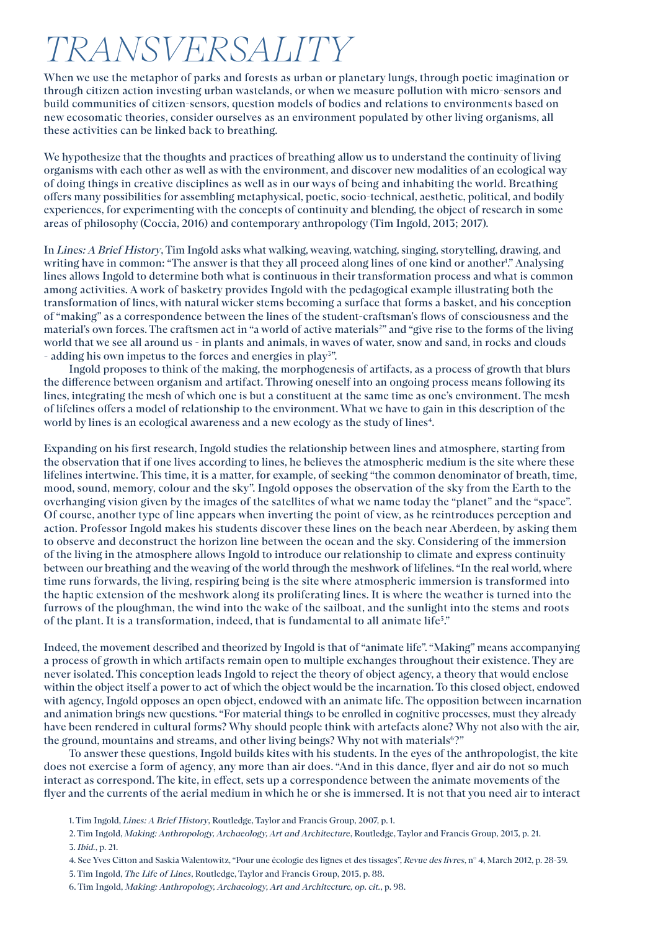## TRANSVERSALITY

When we use the metaphor of parks and forests as urban or planetary lungs, through poetic imagination or through citizen action investing urban wastelands, or when we measure pollution with micro-sensors and build communities of citizen-sensors, question models of bodies and relations to environments based on new ecosomatic theories, consider ourselves as an environment populated by other living organisms, all these activities can be linked back to breathing.

We hypothesize that the thoughts and practices of breathing allow us to understand the continuity of living organisms with each other as well as with the environment, and discover new modalities of an ecological way of doing things in creative disciplines as well as in our ways of being and inhabiting the world. Breathing offers many possibilities for assembling metaphysical, poetic, socio-technical, aesthetic, political, and bodily experiences, for experimenting with the concepts of continuity and blending, the object of research in some areas of philosophy (Coccia, 2016) and contemporary anthropology (Tim Ingold, 2013; 2017).

In *Lines: A Brief History*, Tim Ingold asks what walking, weaving, watching, singing, storytelling, drawing, and writing have in common: "The answer is that they all proceed along lines of one kind or another!" Analysing lines allows Ingold to determine both what is continuous in their transformation process and what is common among activities. A work of basketry provides Ingold with the pedagogical example illustrating both the transformation of lines, with natural wicker stems becoming a surface that forms a basket, and his conception of "making" as a correspondence between the lines of the student-craftsman's flows of consciousness and the material's own forces. The craftsmen act in "a world of active materials<sup>2</sup>" and "give rise to the forms of the living world that we see all around us - in plants and animals, in waves of water, snow and sand, in rocks and clouds - adding his own impetus to the forces and energies in play<sup>3</sup>".

Ingold proposes to think of the making, the morphogenesis of artifacts, as a process of growth that blurs the difference between organism and artifact. Throwing oneself into an ongoing process means following its lines, integrating the mesh of which one is but a constituent at the same time as one's environment. The mesh of lifelines offers a model of relationship to the environment. What we have to gain in this description of the world by lines is an ecological awareness and a new ecology as the study of lines<sup>4</sup>.

Expanding on his first research, Ingold studies the relationship between lines and atmosphere, starting from the observation that if one lives according to lines, he believes the atmospheric medium is the site where these lifelines intertwine. This time, it is a matter, for example, of seeking "the common denominator of breath, time, mood, sound, memory, colour and the sky". Ingold opposes the observation of the sky from the Earth to the overhanging vision given by the images of the satellites of what we name today the "planet" and the "space". Of course, another type of line appears when inverting the point of view, as he reintroduces perception and action. Professor Ingold makes his students discover these lines on the beach near Aberdeen, by asking them to observe and deconstruct the horizon line between the ocean and the sky. Considering of the immersion of the living in the atmosphere allows Ingold to introduce our relationship to climate and express continuity between our breathing and the weaving of the world through the meshwork of lifelines. "In the real world, where time runs forwards, the living, respiring being is the site where atmospheric immersion is transformed into the haptic extension of the meshwork along its proliferating lines. It is where the weather is turned into the furrows of the ploughman, the wind into the wake of the sailboat, and the sunlight into the stems and roots of the plant. It is a transformation, indeed, that is fundamental to all animate life5 ."

Indeed, the movement described and theorized by Ingold is that of "animate life". "Making" means accompanying a process of growth in which artifacts remain open to multiple exchanges throughout their existence. They are never isolated. This conception leads Ingold to reject the theory of object agency, a theory that would enclose within the object itself a power to act of which the object would be the incarnation. To this closed object, endowed with agency, Ingold opposes an open object, endowed with an animate life. The opposition between incarnation and animation brings new questions. "For material things to be enrolled in cognitive processes, must they already have been rendered in cultural forms? Why should people think with artefacts alone? Why not also with the air, the ground, mountains and streams, and other living beings? Why not with materials<sup>6</sup>?"

To answer these questions, Ingold builds kites with his students. In the eyes of the anthropologist, the kite does not exercise a form of agency, any more than air does. "And in this dance, flyer and air do not so much interact as correspond. The kite, in effect, sets up a correspondence between the animate movements of the flyer and the currents of the aerial medium in which he or she is immersed. It is not that you need air to interact

- 4. See Yves Citton and Saskia Walentowitz, "Pour une écologie des lignes et des tissages", *Revue des livres*, n° 4, March 2012, p. 28-39.
- 5. Tim Ingold, *The Life of Lines*, Routledge, Taylor and Francis Group, 2015, p. 88.
- 6. Tim Ingold, *Making: Anthropology, Archaeology, Art and Architecture, op. cit.*, p. 98.

<sup>1.</sup> Tim Ingold, *Lines: A Brief History*, Routledge, Taylor and Francis Group, 2007, p. 1.

<sup>2.</sup> Tim Ingold, *Making: Anthropology, Archaeology, Art and Architecture*, Routledge, Taylor and Francis Group, 2013, p. 21. 3. *Ibid.*, p. 21.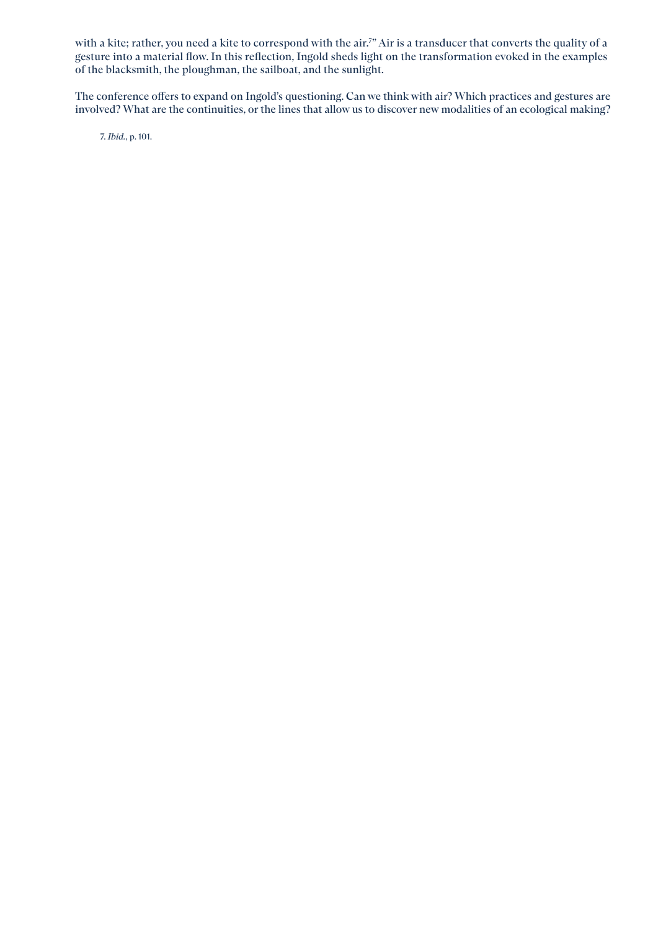with a kite; rather, you need a kite to correspond with the air.7 " Air is a transducer that converts the quality of a gesture into a material flow. In this reflection, Ingold sheds light on the transformation evoked in the examples of the blacksmith, the ploughman, the sailboat, and the sunlight.

The conference offers to expand on Ingold's questioning. Can we think with air? Which practices and gestures are involved? What are the continuities, or the lines that allow us to discover new modalities of an ecological making?

7. *Ibid.*, p. 101.